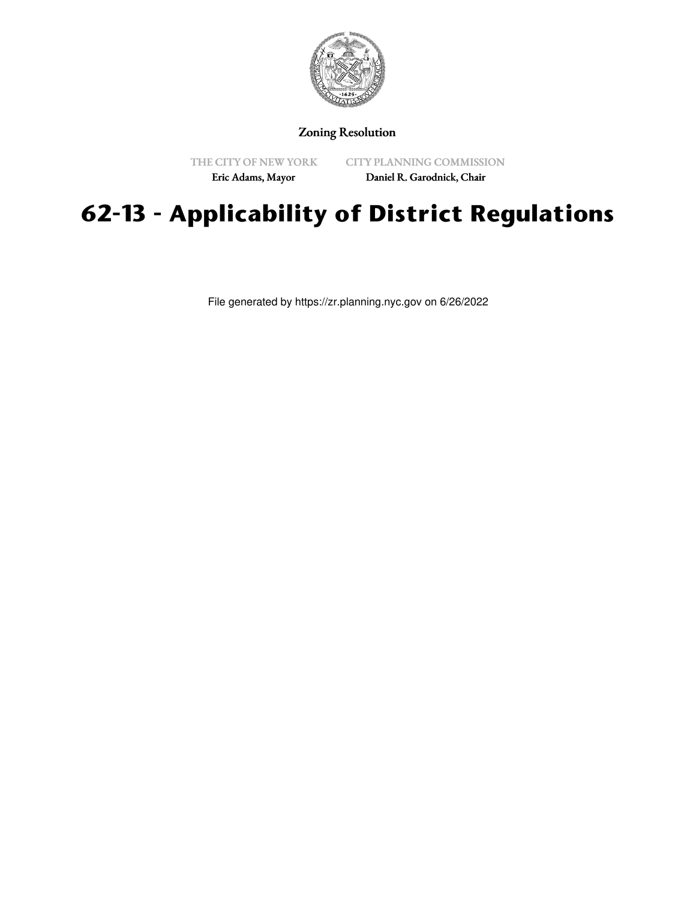

#### Zoning Resolution

THE CITY OF NEW YORK

CITY PLANNING COMMISSION

Eric Adams, Mayor

Daniel R. Garodnick, Chair

# **62-13 - Applicability of District Regulations**

File generated by https://zr.planning.nyc.gov on 6/26/2022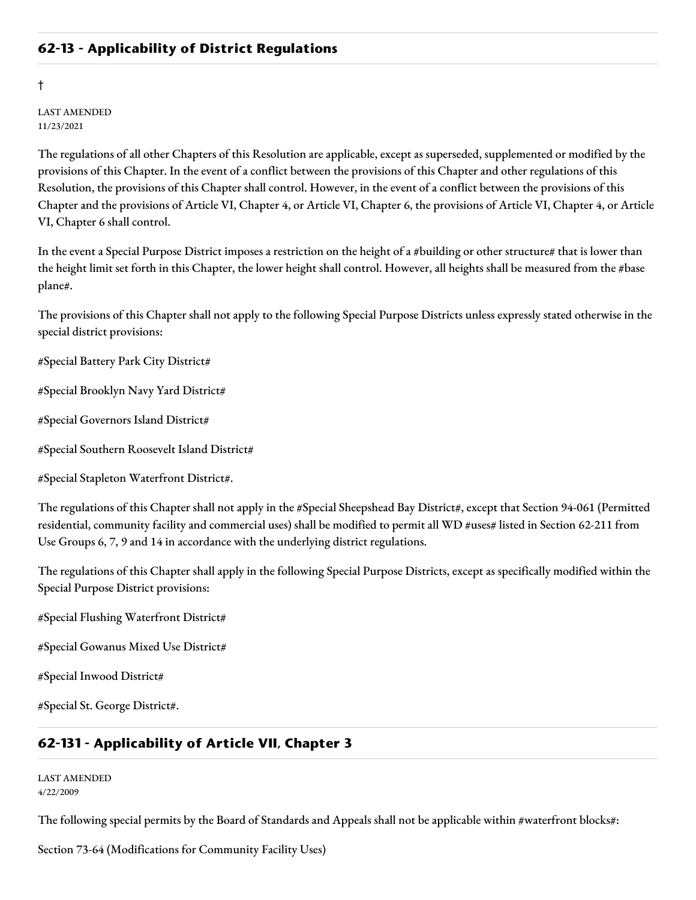#### **62-13 - Applicability of District Regulations**

†

LAST AMENDED 11/23/2021

The regulations of all other Chapters of this Resolution are applicable, except as superseded, supplemented or modified by the provisions of this Chapter. In the event of a conflict between the provisions of this Chapter and other regulations of this Resolution, the provisions of this Chapter shall control. However, in the event of a conflict between the provisions of this Chapter and the provisions of Article VI, Chapter 4, or Article VI, Chapter 6, the provisions of Article VI, Chapter 4, or Article VI, Chapter 6 shall control.

In the event a Special Purpose District imposes a restriction on the height of a #building or other structure# that is lower than the height limit set forth in this Chapter, the lower height shall control. However, all heights shall be measured from the #base plane#.

The provisions of this Chapter shall not apply to the following Special Purpose Districts unless expressly stated otherwise in the special district provisions:

#Special Battery Park City District#

#Special Brooklyn Navy Yard District#

#Special Governors Island District#

#Special Southern Roosevelt Island District#

#Special Stapleton Waterfront District#.

The regulations of this Chapter shall not apply in the #Special Sheepshead Bay District#, except that Section 94-061 (Permitted residential, community facility and commercial uses) shall be modified to permit all WD #uses# listed in Section 62-211 from Use Groups 6, 7, 9 and 14 in accordance with the underlying district regulations.

The regulations of this Chapter shall apply in the following Special Purpose Districts, except as specifically modified within the Special Purpose District provisions:

#Special Flushing Waterfront District#

#Special Gowanus Mixed Use District#

#Special Inwood District#

#Special St. George District#.

#### **62-131 - Applicability of Article VII, Chapter 3**

LAST AMENDED 4/22/2009

The following special permits by the Board of Standards and Appeals shall not be applicable within #waterfront blocks#:

Section 73-64 (Modifications for Community Facility Uses)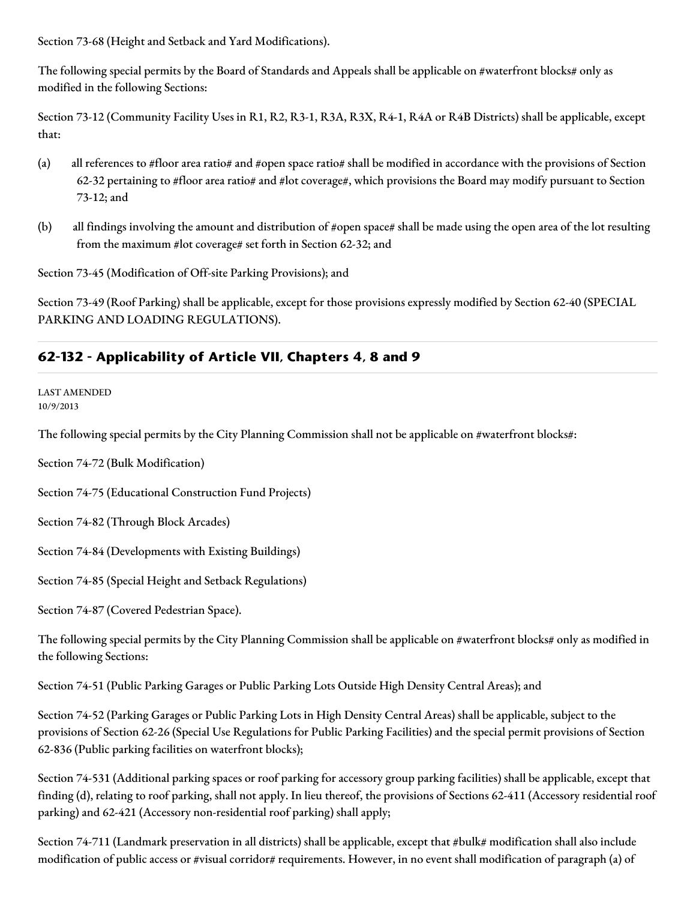Section 73-68 (Height and Setback and Yard Modifications).

The following special permits by the Board of Standards and Appeals shall be applicable on #waterfront blocks# only as modified in the following Sections:

Section 73-12 (Community Facility Uses in R1, R2, R3-1, R3A, R3X, R4-1, R4A or R4B Districts) shall be applicable, except that:

- (a) all references to #floor area ratio# and #open space ratio# shall be modified in accordance with the provisions of Section 62-32 pertaining to #floor area ratio# and #lot coverage#, which provisions the Board may modify pursuant to Section 73-12; and
- (b) all findings involving the amount and distribution of #open space# shall be made using the open area of the lot resulting from the maximum #lot coverage# set forth in Section 62-32; and

Section 73-45 (Modification of Off-site Parking Provisions); and

Section 73-49 (Roof Parking) shall be applicable, except for those provisions expressly modified by Section 62-40 (SPECIAL PARKING AND LOADING REGULATIONS).

## **62-132 - Applicability of Article VII, Chapters 4, 8 and 9**

LAST AMENDED 10/9/2013

The following special permits by the City Planning Commission shall not be applicable on #waterfront blocks#:

Section 74-72 (Bulk Modification)

Section 74-75 (Educational Construction Fund Projects)

Section 74-82 (Through Block Arcades)

Section 74-84 (Developments with Existing Buildings)

Section 74-85 (Special Height and Setback Regulations)

Section 74-87 (Covered Pedestrian Space).

The following special permits by the City Planning Commission shall be applicable on #waterfront blocks# only as modified in the following Sections:

Section 74-51 (Public Parking Garages or Public Parking Lots Outside High Density Central Areas); and

Section 74-52 (Parking Garages or Public Parking Lots in High Density Central Areas) shall be applicable, subject to the provisions of Section 62-26 (Special Use Regulations for Public Parking Facilities) and the special permit provisions of Section 62-836 (Public parking facilities on waterfront blocks);

Section 74-531 (Additional parking spaces or roof parking for accessory group parking facilities) shall be applicable, except that finding (d), relating to roof parking, shall not apply. In lieu thereof, the provisions of Sections 62-411 (Accessory residential roof parking) and 62-421 (Accessory non-residential roof parking) shall apply;

Section 74-711 (Landmark preservation in all districts) shall be applicable, except that #bulk# modification shall also include modification of public access or #visual corridor# requirements. However, in no event shall modification of paragraph (a) of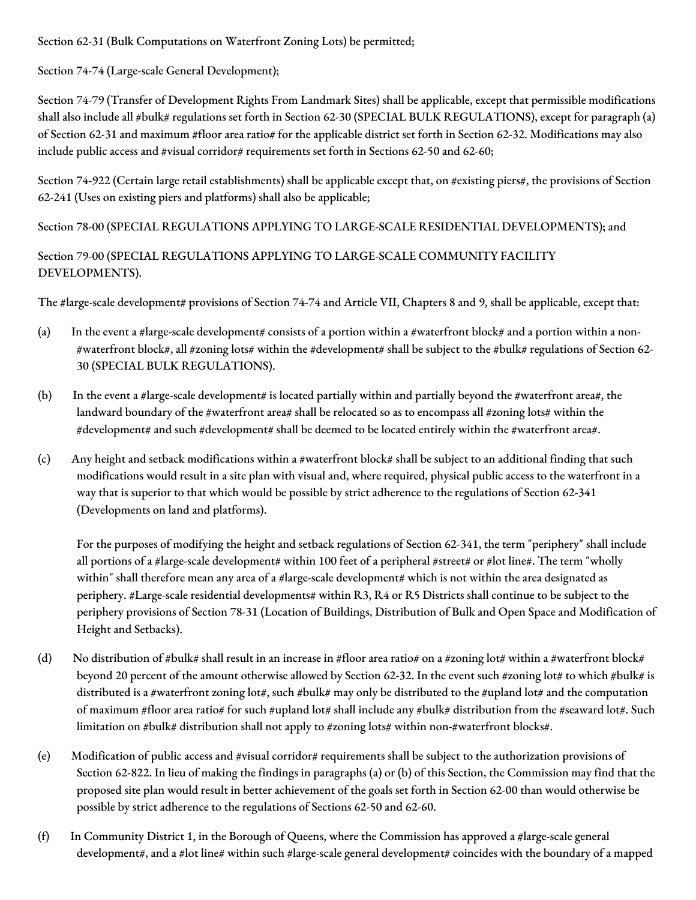Section 62-31 (Bulk Computations on Waterfront Zoning Lots) be permitted;

Section 74-74 (Large-scale General Development);

Section 74-79 (Transfer of Development Rights From Landmark Sites) shall be applicable, except that permissible modifications shall also include all #bulk# regulations set forth in Section 62-30 (SPECIAL BULK REGULATIONS), except for paragraph (a) of Section 62-31 and maximum #floor area ratio# for the applicable district set forth in Section 62-32. Modifications may also include public access and #visual corridor# requirements set forth in Sections 62-50 and 62-60;

Section 74-922 (Certain large retail establishments) shall be applicable except that, on #existing piers#, the provisions of Section 62-241 (Uses on existing piers and platforms) shall also be applicable;

Section 78-00 (SPECIAL REGULATIONS APPLYING TO LARGE-SCALE RESIDENTIAL DEVELOPMENTS); and

#### Section 79-00 (SPECIAL REGULATIONS APPLYING TO LARGE-SCALE COMMUNITY FACILITY DEVELOPMENTS).

The #large-scale development# provisions of Section 74-74 and Article VII, Chapters 8 and 9, shall be applicable, except that:

- (a) In the event a #large-scale development# consists of a portion within a #waterfront block# and a portion within a non-#waterfront block#, all #zoning lots# within the #development# shall be subject to the #bulk# regulations of Section 62- 30 (SPECIAL BULK REGULATIONS).
- (b) In the event a #large-scale development# is located partially within and partially beyond the #waterfront area#, the landward boundary of the #waterfront area# shall be relocated so as to encompass all #zoning lots# within the #development# and such #development# shall be deemed to be located entirely within the #waterfront area#.
- (c) Any height and setback modifications within a #waterfront block# shall be subject to an additional finding that such modifications would result in a site plan with visual and, where required, physical public access to the waterfront in a way that is superior to that which would be possible by strict adherence to the regulations of Section 62-341 (Developments on land and platforms).

For the purposes of modifying the height and setback regulations of Section 62-341, the term "periphery" shall include all portions of a #large-scale development# within 100 feet of a peripheral #street# or #lot line#. The term "wholly within" shall therefore mean any area of a #large-scale development# which is not within the area designated as periphery. #Large-scale residential developments# within R3, R4 or R5 Districts shall continue to be subject to the periphery provisions of Section 78-31 (Location of Buildings, Distribution of Bulk and Open Space and Modification of Height and Setbacks).

- (d) No distribution of #bulk# shall result in an increase in #floor area ratio# on a #zoning lot# within a #waterfront block# beyond 20 percent of the amount otherwise allowed by Section 62-32. In the event such #zoning lot# to which #bulk# is distributed is a #waterfront zoning lot#, such #bulk# may only be distributed to the #upland lot# and the computation of maximum #floor area ratio# for such #upland lot# shall include any #bulk# distribution from the #seaward lot#. Such limitation on #bulk# distribution shall not apply to #zoning lots# within non-#waterfront blocks#.
- (e) Modification of public access and #visual corridor# requirements shall be subject to the authorization provisions of Section 62-822. In lieu of making the findings in paragraphs (a) or (b) of this Section, the Commission may find that the proposed site plan would result in better achievement of the goals set forth in Section 62-00 than would otherwise be possible by strict adherence to the regulations of Sections 62-50 and 62-60.
- (f) In Community District 1, in the Borough of Queens, where the Commission has approved a #large-scale general development#, and a #lot line# within such #large-scale general development# coincides with the boundary of a mapped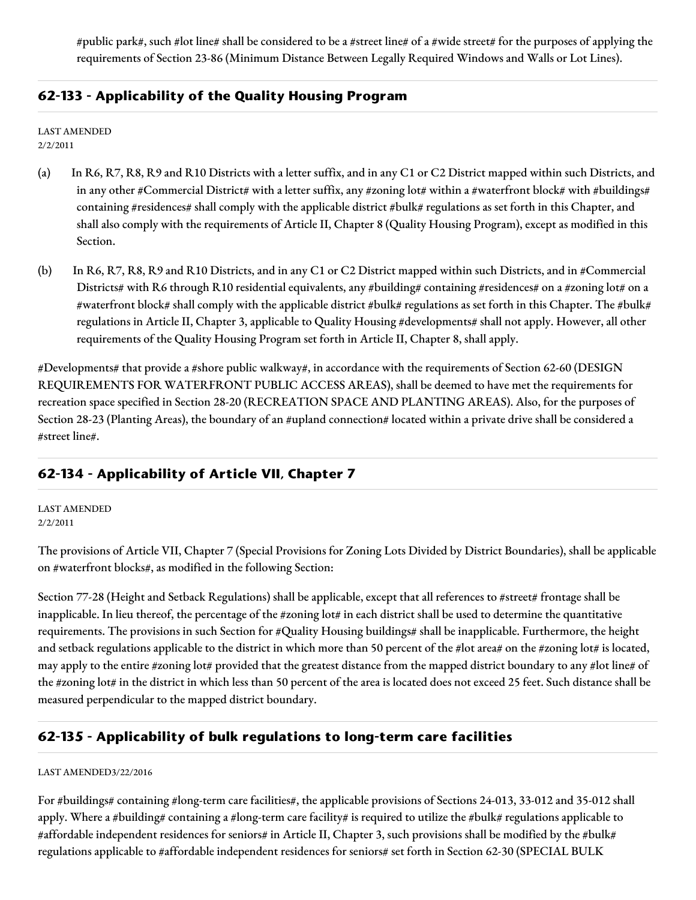#public park#, such #lot line# shall be considered to be a #street line# of a #wide street# for the purposes of applying the requirements of Section 23-86 (Minimum Distance Between Legally Required Windows and Walls or Lot Lines).

### **62-133 - Applicability of the Quality Housing Program**

LAST AMENDED 2/2/2011

- (a) In R6, R7, R8, R9 and R10 Districts with a letter suffix, and in any C1 or C2 District mapped within such Districts, and in any other #Commercial District# with a letter suffix, any #zoning lot# within a #waterfront block# with #buildings# containing #residences# shall comply with the applicable district #bulk# regulations as set forth in this Chapter, and shall also comply with the requirements of Article II, Chapter 8 (Quality Housing Program), except as modified in this Section.
- (b) In R6, R7, R8, R9 and R10 Districts, and in any C1 or C2 District mapped within such Districts, and in #Commercial Districts# with R6 through R10 residential equivalents, any #building# containing #residences# on a #zoning lot# on a #waterfront block# shall comply with the applicable district #bulk# regulations as set forth in this Chapter. The #bulk# regulations in Article II, Chapter 3, applicable to Quality Housing #developments# shall not apply. However, all other requirements of the Quality Housing Program set forth in Article II, Chapter 8, shall apply.

#Developments# that provide a #shore public walkway#, in accordance with the requirements of Section 62-60 (DESIGN REQUIREMENTS FOR WATERFRONT PUBLIC ACCESS AREAS), shall be deemed to have met the requirements for recreation space specified in Section 28-20 (RECREATION SPACE AND PLANTING AREAS). Also, for the purposes of Section 28-23 (Planting Areas), the boundary of an #upland connection# located within a private drive shall be considered a #street line#.

# **62-134 - Applicability of Article VII, Chapter 7**

LAST AMENDED 2/2/2011

The provisions of Article VII, Chapter 7 (Special Provisions for Zoning Lots Divided by District Boundaries), shall be applicable on #waterfront blocks#, as modified in the following Section:

Section 77-28 (Height and Setback Regulations) shall be applicable, except that all references to #street# frontage shall be inapplicable. In lieu thereof, the percentage of the #zoning lot# in each district shall be used to determine the quantitative requirements. The provisions in such Section for #Quality Housing buildings# shall be inapplicable. Furthermore, the height and setback regulations applicable to the district in which more than 50 percent of the #lot area# on the #zoning lot# is located, may apply to the entire #zoning lot# provided that the greatest distance from the mapped district boundary to any #lot line# of the #zoning lot# in the district in which less than 50 percent of the area is located does not exceed 25 feet. Such distance shall be measured perpendicular to the mapped district boundary.

#### **62-135 - Applicability of bulk regulations to long-term care facilities**

#### LAST AMENDED3/22/2016

For #buildings# containing #long-term care facilities#, the applicable provisions of Sections 24-013, 33-012 and 35-012 shall apply. Where a #building# containing a #long-term care facility# is required to utilize the #bulk# regulations applicable to #affordable independent residences for seniors# in Article II, Chapter 3, such provisions shall be modified by the #bulk# regulations applicable to #affordable independent residences for seniors# set forth in Section 62-30 (SPECIAL BULK